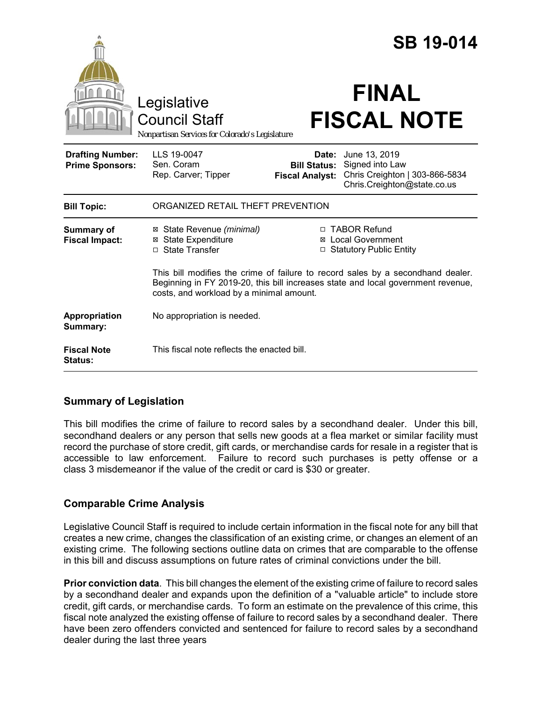|                                                   |                                                                                                                                                                                                                 |                                                        | <b>SB 19-014</b>                                                                                  |  |
|---------------------------------------------------|-----------------------------------------------------------------------------------------------------------------------------------------------------------------------------------------------------------------|--------------------------------------------------------|---------------------------------------------------------------------------------------------------|--|
|                                                   | Legislative<br><b>Council Staff</b><br>Nonpartisan Services for Colorado's Legislature                                                                                                                          |                                                        | <b>FINAL</b><br><b>FISCAL NOTE</b>                                                                |  |
| <b>Drafting Number:</b><br><b>Prime Sponsors:</b> | LLS 19-0047<br>Sen. Coram<br>Rep. Carver; Tipper                                                                                                                                                                | Date:<br><b>Bill Status:</b><br><b>Fiscal Analyst:</b> | June 13, 2019<br>Signed into Law<br>Chris Creighton   303-866-5834<br>Chris.Creighton@state.co.us |  |
| <b>Bill Topic:</b>                                | ORGANIZED RETAIL THEFT PREVENTION                                                                                                                                                                               |                                                        |                                                                                                   |  |
| <b>Summary of</b><br><b>Fiscal Impact:</b>        | ⊠ State Revenue (minimal)<br><b>⊠</b> State Expenditure<br>□ State Transfer                                                                                                                                     | $\Box$                                                 | □ TABOR Refund<br>⊠ Local Government<br><b>Statutory Public Entity</b>                            |  |
|                                                   | This bill modifies the crime of failure to record sales by a secondhand dealer.<br>Beginning in FY 2019-20, this bill increases state and local government revenue,<br>costs, and workload by a minimal amount. |                                                        |                                                                                                   |  |
| Appropriation<br>Summary:                         | No appropriation is needed.                                                                                                                                                                                     |                                                        |                                                                                                   |  |
| <b>Fiscal Note</b><br><b>Status:</b>              | This fiscal note reflects the enacted bill.                                                                                                                                                                     |                                                        |                                                                                                   |  |

# **Summary of Legislation**

This bill modifies the crime of failure to record sales by a secondhand dealer. Under this bill, secondhand dealers or any person that sells new goods at a flea market or similar facility must record the purchase of store credit, gift cards, or merchandise cards for resale in a register that is accessible to law enforcement. Failure to record such purchases is petty offense or a class 3 misdemeanor if the value of the credit or card is \$30 or greater.

# **Comparable Crime Analysis**

Legislative Council Staff is required to include certain information in the fiscal note for any bill that creates a new crime, changes the classification of an existing crime, or changes an element of an existing crime. The following sections outline data on crimes that are comparable to the offense in this bill and discuss assumptions on future rates of criminal convictions under the bill.

**Prior conviction data**. This bill changes the element of the existing crime of failure to record sales by a secondhand dealer and expands upon the definition of a "valuable article" to include store credit, gift cards, or merchandise cards. To form an estimate on the prevalence of this crime, this fiscal note analyzed the existing offense of failure to record sales by a secondhand dealer. There have been zero offenders convicted and sentenced for failure to record sales by a secondhand dealer during the last three years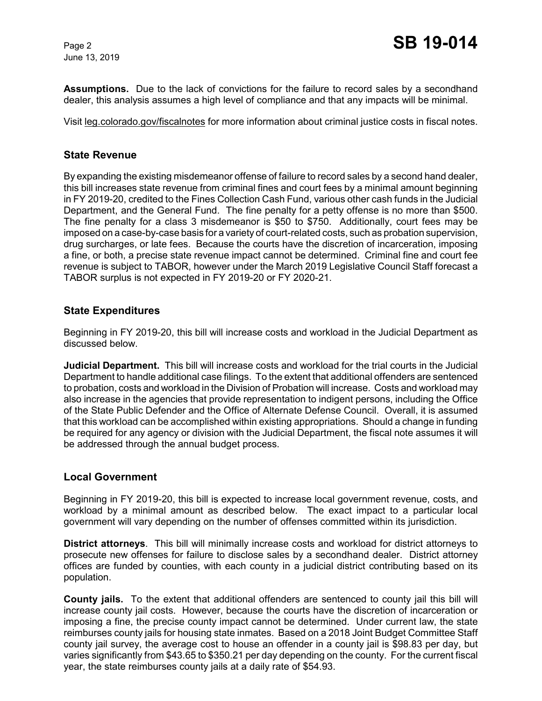June 13, 2019

**Assumptions.** Due to the lack of convictions for the failure to record sales by a secondhand dealer, this analysis assumes a high level of compliance and that any impacts will be minimal.

Visit leg.colorado.gov/fiscalnotes for more information about criminal justice costs in fiscal notes.

### **State Revenue**

By expanding the existing misdemeanor offense of failure to record sales by a second hand dealer, this bill increases state revenue from criminal fines and court fees by a minimal amount beginning in FY 2019-20, credited to the Fines Collection Cash Fund, various other cash funds in the Judicial Department, and the General Fund. The fine penalty for a petty offense is no more than \$500. The fine penalty for a class 3 misdemeanor is \$50 to \$750. Additionally, court fees may be imposed on a case-by-case basis for a variety of court-related costs, such as probation supervision, drug surcharges, or late fees. Because the courts have the discretion of incarceration, imposing a fine, or both, a precise state revenue impact cannot be determined. Criminal fine and court fee revenue is subject to TABOR, however under the March 2019 Legislative Council Staff forecast a TABOR surplus is not expected in FY 2019-20 or FY 2020-21.

### **State Expenditures**

Beginning in FY 2019-20, this bill will increase costs and workload in the Judicial Department as discussed below.

**Judicial Department.** This bill will increase costs and workload for the trial courts in the Judicial Department to handle additional case filings. To the extent that additional offenders are sentenced to probation, costs and workload in the Division of Probation will increase. Costs and workload may also increase in the agencies that provide representation to indigent persons, including the Office of the State Public Defender and the Office of Alternate Defense Council. Overall, it is assumed that this workload can be accomplished within existing appropriations. Should a change in funding be required for any agency or division with the Judicial Department, the fiscal note assumes it will be addressed through the annual budget process.

#### **Local Government**

Beginning in FY 2019-20, this bill is expected to increase local government revenue, costs, and workload by a minimal amount as described below. The exact impact to a particular local government will vary depending on the number of offenses committed within its jurisdiction.

**District attorneys**. This bill will minimally increase costs and workload for district attorneys to prosecute new offenses for failure to disclose sales by a secondhand dealer. District attorney offices are funded by counties, with each county in a judicial district contributing based on its population.

**County jails.** To the extent that additional offenders are sentenced to county jail this bill will increase county jail costs. However, because the courts have the discretion of incarceration or imposing a fine, the precise county impact cannot be determined. Under current law, the state reimburses county jails for housing state inmates. Based on a 2018 Joint Budget Committee Staff county jail survey, the average cost to house an offender in a county jail is \$98.83 per day, but varies significantly from \$43.65 to \$350.21 per day depending on the county. For the current fiscal year, the state reimburses county jails at a daily rate of \$54.93.